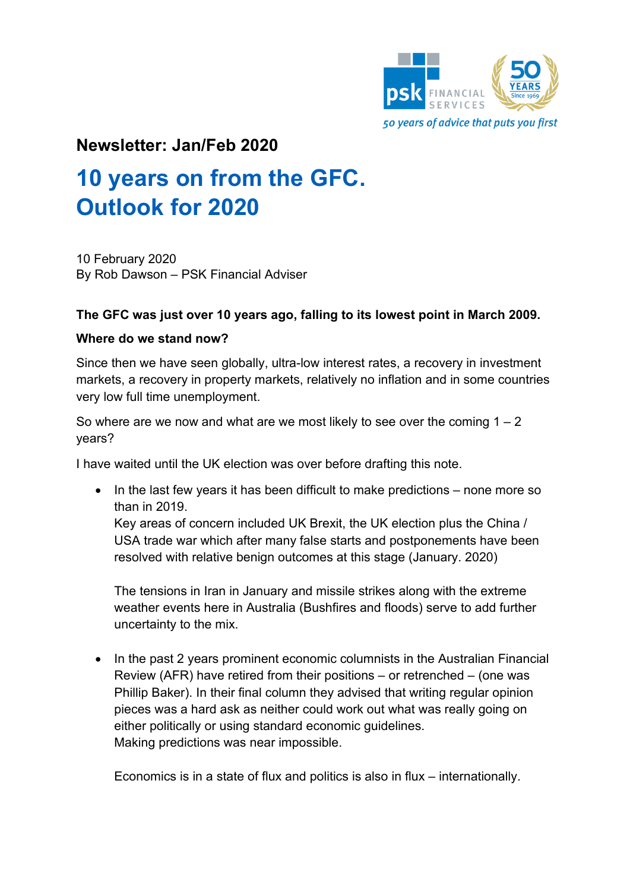

## **Newsletter: Jan/Feb 2020**

# **10 years on from the GFC. Outlook for 2020**

10 February 2020 By Rob Dawson – PSK Financial Adviser

### **The GFC was just over 10 years ago, falling to its lowest point in March 2009.**

#### **Where do we stand now?**

Since then we have seen globally, ultra-low interest rates, a recovery in investment markets, a recovery in property markets, relatively no inflation and in some countries very low full time unemployment.

So where are we now and what are we most likely to see over the coming  $1 - 2$ years?

I have waited until the UK election was over before drafting this note.

• In the last few years it has been difficult to make predictions – none more so than in 2019.

Key areas of concern included UK Brexit, the UK election plus the China / USA trade war which after many false starts and postponements have been resolved with relative benign outcomes at this stage (January. 2020)

The tensions in Iran in January and missile strikes along with the extreme weather events here in Australia (Bushfires and floods) serve to add further uncertainty to the mix.

• In the past 2 years prominent economic columnists in the Australian Financial Review (AFR) have retired from their positions – or retrenched – (one was Phillip Baker). In their final column they advised that writing regular opinion pieces was a hard ask as neither could work out what was really going on either politically or using standard economic guidelines. Making predictions was near impossible.

Economics is in a state of flux and politics is also in flux – internationally.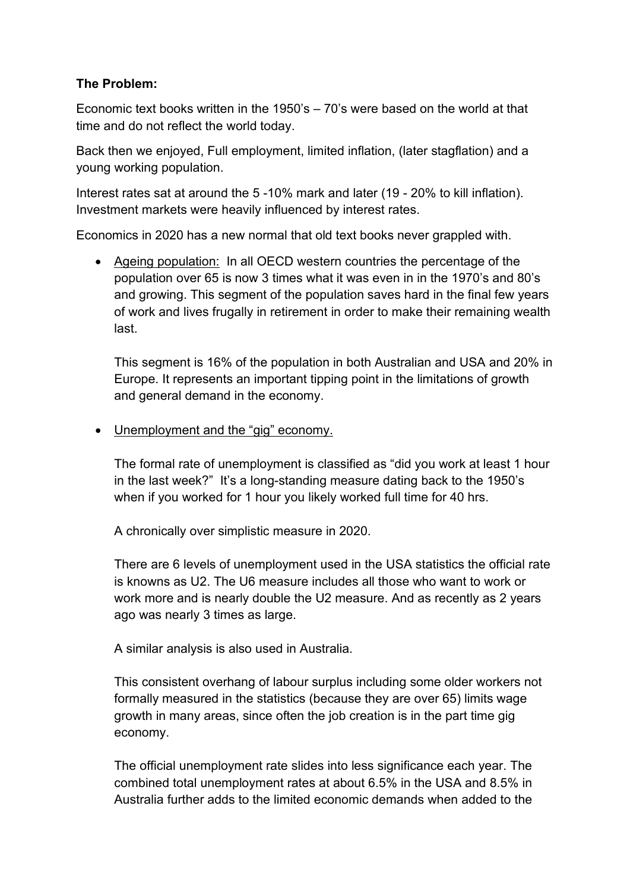### **The Problem:**

Economic text books written in the 1950's – 70's were based on the world at that time and do not reflect the world today.

Back then we enjoyed, Full employment, limited inflation, (later stagflation) and a young working population.

Interest rates sat at around the 5 -10% mark and later (19 - 20% to kill inflation). Investment markets were heavily influenced by interest rates.

Economics in 2020 has a new normal that old text books never grappled with.

• Ageing population: In all OECD western countries the percentage of the population over 65 is now 3 times what it was even in in the 1970's and 80's and growing. This segment of the population saves hard in the final few years of work and lives frugally in retirement in order to make their remaining wealth last.

This segment is 16% of the population in both Australian and USA and 20% in Europe. It represents an important tipping point in the limitations of growth and general demand in the economy.

• Unemployment and the "gig" economy.

The formal rate of unemployment is classified as "did you work at least 1 hour in the last week?" It's a long-standing measure dating back to the 1950's when if you worked for 1 hour you likely worked full time for 40 hrs.

A chronically over simplistic measure in 2020.

There are 6 levels of unemployment used in the USA statistics the official rate is knowns as U2. The U6 measure includes all those who want to work or work more and is nearly double the U2 measure. And as recently as 2 years ago was nearly 3 times as large.

A similar analysis is also used in Australia.

This consistent overhang of labour surplus including some older workers not formally measured in the statistics (because they are over 65) limits wage growth in many areas, since often the job creation is in the part time gig economy.

The official unemployment rate slides into less significance each year. The combined total unemployment rates at about 6.5% in the USA and 8.5% in Australia further adds to the limited economic demands when added to the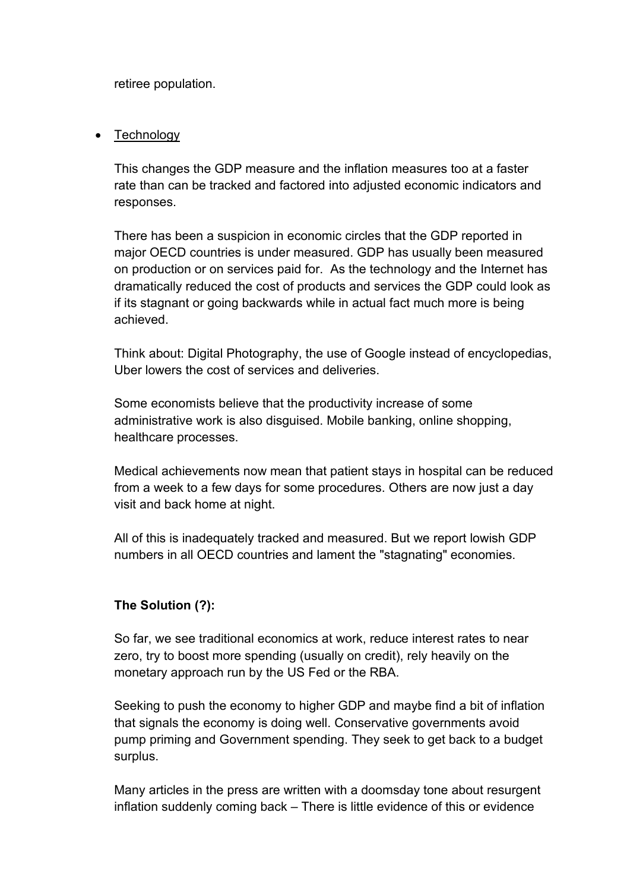retiree population.

#### • Technology

This changes the GDP measure and the inflation measures too at a faster rate than can be tracked and factored into adjusted economic indicators and responses.

There has been a suspicion in economic circles that the GDP reported in major OECD countries is under measured. GDP has usually been measured on production or on services paid for. As the technology and the Internet has dramatically reduced the cost of products and services the GDP could look as if its stagnant or going backwards while in actual fact much more is being achieved.

Think about: Digital Photography, the use of Google instead of encyclopedias, Uber lowers the cost of services and deliveries.

Some economists believe that the productivity increase of some administrative work is also disguised. Mobile banking, online shopping, healthcare processes.

Medical achievements now mean that patient stays in hospital can be reduced from a week to a few days for some procedures. Others are now just a day visit and back home at night.

All of this is inadequately tracked and measured. But we report lowish GDP numbers in all OECD countries and lament the "stagnating" economies.

### **The Solution (?):**

So far, we see traditional economics at work, reduce interest rates to near zero, try to boost more spending (usually on credit), rely heavily on the monetary approach run by the US Fed or the RBA.

Seeking to push the economy to higher GDP and maybe find a bit of inflation that signals the economy is doing well. Conservative governments avoid pump priming and Government spending. They seek to get back to a budget surplus.

Many articles in the press are written with a doomsday tone about resurgent inflation suddenly coming back – There is little evidence of this or evidence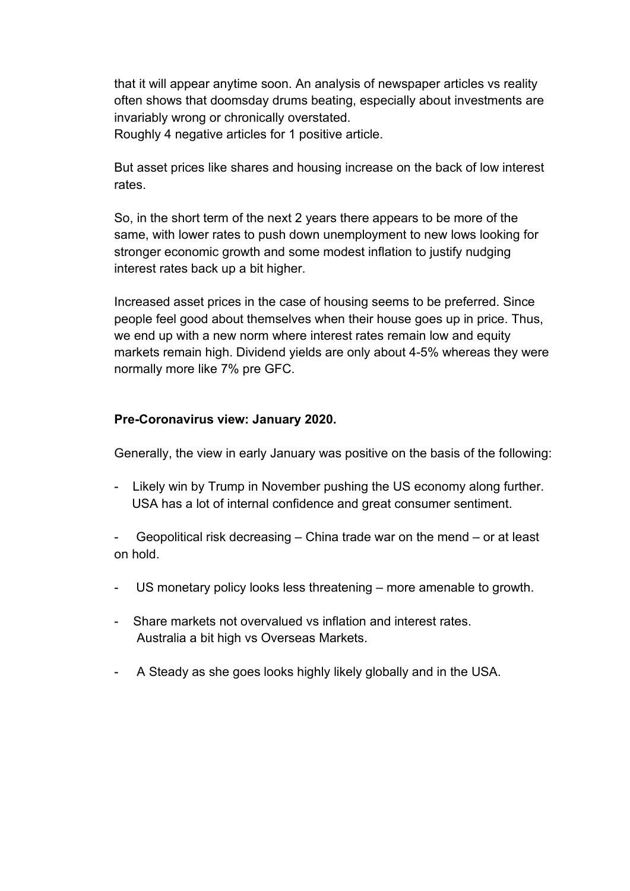that it will appear anytime soon. An analysis of newspaper articles vs reality often shows that doomsday drums beating, especially about investments are invariably wrong or chronically overstated.

Roughly 4 negative articles for 1 positive article.

But asset prices like shares and housing increase on the back of low interest rates.

So, in the short term of the next 2 years there appears to be more of the same, with lower rates to push down unemployment to new lows looking for stronger economic growth and some modest inflation to justify nudging interest rates back up a bit higher.

Increased asset prices in the case of housing seems to be preferred. Since people feel good about themselves when their house goes up in price. Thus, we end up with a new norm where interest rates remain low and equity markets remain high. Dividend yields are only about 4-5% whereas they were normally more like 7% pre GFC.

#### **Pre-Coronavirus view: January 2020.**

Generally, the view in early January was positive on the basis of the following:

- Likely win by Trump in November pushing the US economy along further. USA has a lot of internal confidence and great consumer sentiment.

Geopolitical risk decreasing – China trade war on the mend – or at least on hold.

- US monetary policy looks less threatening more amenable to growth.
- Share markets not overvalued vs inflation and interest rates. Australia a bit high vs Overseas Markets.
- A Steady as she goes looks highly likely globally and in the USA.